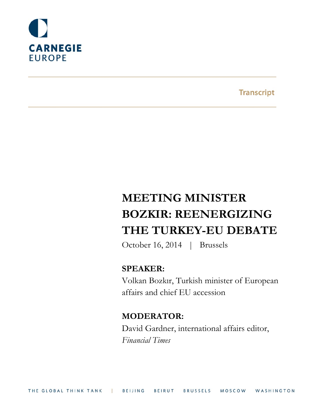

**Transcript** 

# **MEETING MINISTER BOZKIR: REENERGIZING THE TURKEY-EU DEBATE**

October 16, 2014 | Brussels

### **SPEAKER:**

Volkan Bozkır, Turkish minister of European affairs and chief EU accession

## **MODERATOR:**

David Gardner, international affairs editor, *Financial Times*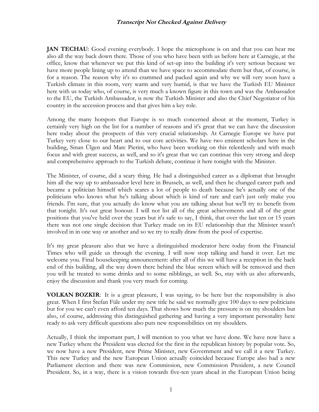**JAN TECHAU**: Good evening everybody. I hope the microphone is on and that you can hear me also all the way back down there. Those of you who have been with us before here at Carnegie, at the office, know that whenever we put this kind of set-up into the building it's very serious because we have more people lining up to attend than we have space to accommodate them but that, of course, is for a reason. The reason why it's so crammed and packed again and why we will very soon have a Turkish climate in this room, very warm and very humid, is that we have the Turkish EU Minister here with us today who, of course, is very much a known figure in this town and was the Ambassador to the EU, the Turkish Ambassador, is now the Turkish Minister and also the Chief Negotiator of his country in the accession process and that gives him a key role.

Among the many hotspots that Europe is so much concerned about at the moment, Turkey is certainly very high on the list for a number of reasons and it's great that we can have the discussion here today about the prospects of this very crucial relationship. At Carnegie Europe we have put Turkey very close to our heart and to our core activities. We have two eminent scholars here in the building, Sinan Ülgen and Marc Pierini, who have been working on this relentlessly and with much focus and with great success, as well, and so it's great that we can continue this very strong and deep and comprehensive approach to the Turkish debate, continue it here tonight with the Minister.

The Minister, of course, did a scary thing. He had a distinguished career as a diplomat that brought him all the way up to ambassador level here in Brussels, as well, and then he changed career path and became a politician himself which scares a lot of people to death because he's actually one of the politicians who knows what he's talking about which is kind of rare and can't just only make you friends. I'm sure, that you actually do know what you are talking about but we'll try to benefit from that tonight. It's out great honour. I will not list all of the great achievements and all of the great positions that you've held over the years but it's safe to say, I think, that over the last ten or 15 years there was not one single decision that Turkey made on its EU relationship that the Minister wasn't involved in in one way or another and so we try to really draw from the pool of expertise.

It's my great pleasure also that we have a distinguished moderator here today from the Financial Times who will guide us through the evening. I will now stop talking and hand it over. Let me welcome you. Final housekeeping announcement: after all of this we will have a reception in the back end of this building, all the way down there behind the blue screen which will be removed and then you will be treated to some drinks and to some nibblings, as well. So, stay with us also afterwards, enjoy the discussion and thank you very much for coming.

**VOLKAN BOZKIR:** It is a great pleasure, I was saying, to be here but the responsibility is also great. When I first Štefan Füle under my new title he said we normally give 100 days to new politicians but for you we can't even afford ten days. That shows how much the pressure is on my shoulders but also, of course, addressing this distinguished gathering and having a very important personality here ready to ask very difficult questions also puts new responsibilities on my shoulders.

Actually, I think the important part, I will mention to you what we have done. We have now have a new Turkey where the President was elected for the first in the republican history by popular vote. So, we now have a new President, new Prime Minister, new Government and we call it a new Turkey. This new Turkey and the new European Union actually coincided because Europe also had a new Parliament election and there was new Commission, new Commission President, a new Council President. So, in a way, there is a vision towards five-ten years ahead in the European Union being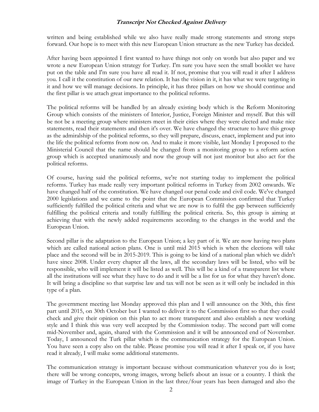written and being established while we also have really made strong statements and strong steps forward. Our hope is to meet with this new European Union structure as the new Turkey has decided.

After having been appointed I first wanted to have things not only on words but also paper and we wrote a new European Union strategy for Turkey. I'm sure you have seen the small booklet we have put on the table and I'm sure you have all read it. If not, promise that you will read it after I address you. I call it the constitution of our new relation. It has the vision in it, it has what we were targeting in it and how we will manage decisions. In principle, it has three pillars on how we should continue and the first pillar is we attach great importance to the political reforms.

The political reforms will be handled by an already existing body which is the Reform Monitoring Group which consists of the ministers of Interior, Justice, Foreign Minister and myself. But this will be not be a meeting group where ministers meet in their cities where they were elected and make nice statements, read their statements and then it's over. We have changed the structure to have this group as the admiralship of the political reforms, so they will prepare, discuss, enact, implement and put into the life the political reforms from now on. And to make it more visible, last Monday I proposed to the Ministerial Council that the name should be changed from a monitoring group to a reform action group which is accepted unanimously and now the group will not just monitor but also act for the political reforms.

Of course, having said the political reforms, we're not starting today to implement the political reforms. Turkey has made really very important political reforms in Turkey from 2002 onwards. We have changed half of the constitution. We have changed our penal code and civil code. We've changed 2000 legislations and we came to the point that the European Commission confirmed that Turkey sufficiently fulfilled the political criteria and what we are now is to fulfil the gap between sufficiently fulfilling the political criteria and totally fulfilling the political criteria. So, this group is aiming at achieving that with the newly added requirements according to the changes in the world and the European Union.

Second pillar is the adaptation to the European Union; a key part of it. We are now having two plans which are called national action plans. One is until mid 2015 which is when the elections will take place and the second will be in 2015-2019. This is going to be kind of a national plan which we didn't have since 2008. Under every chapter all the laws, all the secondary laws will be listed, who will be responsible, who will implement it will be listed as well. This will be a kind of a transparent list where all the institutions will see what they have to do and it will be a list for us for what they haven't done. It will bring a discipline so that surprise law and tax will not be seen as it will only be included in this type of a plan.

The government meeting last Monday approved this plan and I will announce on the 30th, this first part until 2015, on 30th October but I wanted to deliver it to the Commission first so that they could check and give their opinion on this plan to act more transparent and also establish a new working style and I think this was very well accepted by the Commission today. The second part will come mid-November and, again, shared with the Commission and it will be announced end of November. Today, I announced the Turk pillar which is the communication strategy for the European Union. You have seen a copy also on the table. Please promise you will read it after I speak or, if you have read it already, I will make some additional statements.

The communication strategy is important because without communication whatever you do is lost; there will be wrong concepts, wrong images, wrong beliefs about an issue or a country. I think the image of Turkey in the European Union in the last three/four years has been damaged and also the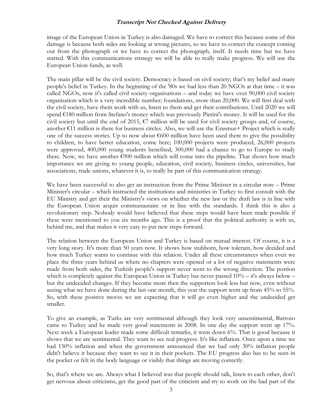image of the European Union in Turkey is also damaged. We have to correct this because some of this damage is because both sides are looking at wrong pictures, so we have to correct the concept coming out from the photograph or we have to correct the photograph, itself. It needs time but we have started. With this communications strategy we will be able to really make progress. We will use the European Union funds, as well.

The main pillar will be the civil society. Democracy is based on civil society; that's my belief and many people's belief in Turkey. In the beginning of the '80s we had less than 20 NGOs at that time – it was called NGOs, now it's called civil society organisations – and today we have over 90,000 civil society organisation which is a very incredible number; foundations, more than 20,000. We will first deal with the civil society, have them work with us, listen to them and get their contributions. Until 2020 we will spend €180 million from Stefano's money which was previously Pierini's money. It will be used for the civil society but until the end of 2015,  $\epsilon$ 7 million will be used for civil society groups and, of course, another €11 million is there for business circles. Also, we will use the Erasmus+ Project which is really one of the success stories. Up to now about  $\epsilon$ 600 million have been used there to give the possibility to children, to have better education, come here; 100,000 projects were produced, 26,000 projects were approved, 400,000 young students benefited, 300,000 had a chance to go to Europe to study there. Now, we have another  $\epsilon$ 900 million which will come into the pipeline. That shows how much importance we are giving to young people, education, civil society, business circles, universities, bar associations, trade unions, whatever it is, to really be part of this communication strategy.

We have been successful to also get an instruction from the Prime Minister in a circular note – Prime Minister's circular – which instructed the institutions and ministries in Turkey to first consult with the EU Ministry and get their the Ministry's views on whether the new law or the draft law is in line with the European Union acquis communautaire or in line with the standards. I think this is also a revolutionary step. Nobody would have believed that these steps would have been made possible if these were mentioned to you six months ago. This is a proof that the political authority is with us, behind me, and that makes it very easy to put new steps forward.

The relation between the European Union and Turkey is based on mutual interest. Of course, it is a very long story. It's more than 50 years now. It shows how stubborn, how tolerant, how decided and how much Turkey wants to continue with this relation. Under all these circumstances when even we place the three years behind us where no chapters were opened or a lot of negative statements were made from both sides, the Turkish people's support never went to the wrong direction. The portion which is completely against the European Union in Turkey has never passed  $10\% - it$ 's always below – but the undecided changes. If they become more then the supporters look less but now, even without seeing what we have done during the last one month, this year the support went up from 45% to 55%. So, with these positive moves we are expecting that it will go even higher and the undecided get smaller.

To give an example, as Turks are very sentimental although they look very unsentimental, Barroso came to Turkey and he made very good statements in 2008. In one day the support went up 17%. Next week a European leader made some difficult remarks, it went down 6%. That is good because it shows that we are sentimental. They want to see real progress. It's like inflation. Once upon a time we had 150% inflation and when the government announced that we had only 30% inflation people didn't believe it because they want to see it in their pockets. The EU progress also has to be seen in the pocket or felt in the body language or visibly that things are moving correctly.

So, that's where we are. Always what I believed was that people should talk, listen to each other, don't get nervous about criticisms, get the good part of the criticism and try to work on the bad part of the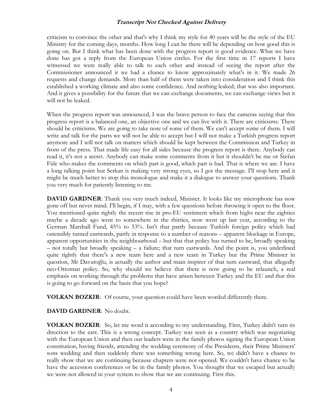criticism to convince the other and that's why I think my style for 40 years will be the style of the EU Ministry for the coming days, months. How long I can be there will be depending on how good this is going on. But I think what has been done with the progress report is good evidence. What we have done has got a reply from the European Union circles. For the first time in 17 reports I have witnessed we were really able to talk to each other and instead of seeing the report after the Commissioner announced it we had a chance to know approximately what's in it. We made 26 requests and change demands. More than half of them were taken into consideration and I think this established a working climate and also some confidence. And nothing leaked; that was also important. And it gives a possibility for the future that we can exchange documents, we can exchange views but it will not be leaked.

When the progress report was announced, I was the brave person to face the cameras saying that this progress report is a balanced one, an objective one and we can live with it. There are criticisms. There should be criticisms. We are going to take note of some of them. We can't accept some of them. I will write and talk for the parts we will not be able to accept but I will not make a Turkish progress report anymore and I will not talk on matters which should be kept between the Commission and Turkey in front of the press. That made life easy for all sides because the progress report is there. Anybody can read it, it's not a secret. Anybody can make some comments from it but it shouldn't be me or Štefan Füle who makes the comments on which part is good, which part is bad. That is where we are. I have a long talking point but Serkan is making very strong eyes, so I got the message. I'll stop here and it might be much better to stop this monologue and make it a dialogue to answer your questions. Thank you very much for patiently listening to me.

**DAVID GARDNER:** Thank you very much indeed, Minister. It looks like my microphone has now gone off but never mind. I'll begin, if I may, with a few questions before throwing it open to the floor. You mentioned quite rightly the recent rise in pro-EU sentiment which from highs near the eighties maybe a decade ago went to somewhere in the thirties, now went up last year, according to the German Marshall Fund, 45% to 53%. Isn't that partly because Turkish foreign policy which had ostensibly turned eastwards, partly in response to a number of reasons – apparent blockage in Europe, apparent opportunities in the neighbourhood – but that that policy has turned to be, broadly speaking – not totally but broadly speaking – a failure; that turn eastwards. And the point is, you underlined quite rightly that there's a new team here and a new team in Turkey but the Prime Minister in question, Mr Davutoğlu, is actually the author and main inspirer of that turn eastward, that allegedly neo-Ottoman policy. So, why should we believe that there is now going to be relaunch, a real emphasis on working through the problems that have arisen between Turkey and the EU and that this is going to go forward on the basis that you hope?

**VOLKAN BOZKIR**: Of course, your question could have been worded differently there.

#### **DAVID GARDNER**: No doubt.

**VOLKAN BOZKIR**: So, let me word it according to my understanding. First, Turkey didn't turn its direction to the east. This is a wrong concept. Turkey was seen as a country which was negotiating with the European Union and then our leaders were in the family photos signing the European Union constitution, having friends, attending the wedding ceremony of the Presidents, their Prime Ministers' sons wedding and then suddenly there was something wrong here. So, we didn't have a chance to really show that we are continuing because chapters were not opened. We couldn't have chance to be have the accession conferences or be in the family photos. You thought that we escaped but actually we were not allowed in your system to show that we are continuing. First this.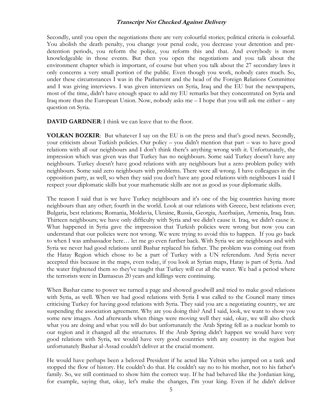Secondly, until you open the negotiations there are very colourful stories; political criteria is colourful. You abolish the death penalty, you change your penal code, you decrease your detention and predetention periods, you reform the police, you reform this and that. And everybody is more knowledgeable in those events. But then you open the negotiations and you talk about the environment chapter which is important, of course but when you talk about the 27 secondary laws it only concerns a very small portion of the public. Even though you work, nobody cares much. So, under these circumstances I was in the Parliament and the head of the Foreign Relations Committee and I was giving interviews. I was given interviews on Syria, Iraq and the EU but the newspapers, most of the time, didn't have enough space to add my EU remarks but they concentrated on Syria and Iraq more than the European Union. Now, nobody asks me – I hope that you will ask me either – any question on Syria.

**DAVID GARDNER:** I think we can leave that to the floor.

**VOLKAN BOZKIR:** But whatever I say on the EU is on the press and that's good news. Secondly, your criticism about Turkish policies. Our policy – you didn't mention that part – was to have good relations with all our neighbours and I don't think there's anything wrong with it. Unfortunately, the impression which was given was that Turkey has no neighbours. Some said Turkey doesn't have any neighbours. Turkey doesn't have good relations with any neighbours but a zero problem policy with neighbours. Some said zero neighbours with problems. There were all wrong. I have colleagues in the opposition party, as well, so when they said you don't have any good relations with neighbours I said I respect your diplomatic skills but your mathematic skills are not as good as your diplomatic skills.

The reason I said that is we have Turkey neighbours and it's one of the big countries having more neighbours than any other; fourth in the world. Look at our relations with Greece, best relations ever; Bulgaria, best relations; Romania, Moldavia, Ukraine, Russia, Georgia, Azerbaijan, Armenia, Iraq, Iran. Thirteen neighbours; we have only difficulty with Syria and we didn't cause it. Iraq, we didn't cause it. What happened in Syria gave the impression that Turkish policies were wrong but now you can understand that our policies were not wrong. We were trying to avoid this to happen. If you go back to when I was ambassador here… let me go even further back. With Syria we are neighbours and with Syria we never had good relations until Bashar replaced his father. The problem was coming out from the Hatay Region which chose to be a part of Turkey with a UN referendum. And Syria never accepted this because in the maps, even today, if you look at Syrian maps, Hatay is part of Syria. And the water frightened them so they've taught that Turkey will cut all the water. We had a period where the terrorists were in Damascus 20 years and killings were continuing.

When Bashar came to power we turned a page and showed goodwill and tried to make good relations with Syria, as well. When we had good relations with Syria I was called to the Council many times criticising Turkey for having good relations with Syria. They said you are a negotiating country, we are suspending the association agreement. Why are you doing this? And I said, look, we want to show you some new images. And afterwards when things were moving well they said, okay, we will also check what you are doing and what you will do but unfortunately the Arab Spring fell as a nuclear bomb to our region and it changed all the structures. If the Arab Spring didn't happen we would have very good relations with Syria, we would have very good countries with any country in the region but unfortunately Bashar al-Assad couldn't deliver at the crucial moment.

He would have perhaps been a beloved President if he acted like Yeltsin who jumped on a tank and stopped the flow of history. He couldn't do that. He couldn't say no to his mother, not to his father's family. So, we still continued to show him the correct way. If he had behaved like the Jordanian king, for example, saying that, okay, let's make the changes, I'm your king. Even if he didn't deliver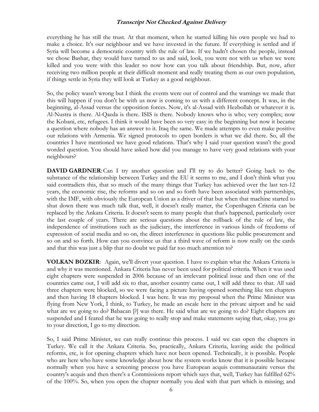everything he has still the trust. At that moment, when he started killing his own people we had to make a choice. It's our neighbour and we have invested in the future. If everything is settled and if Syria will become a democratic country with the rule of law. If we hadn't chosen the people, instead we chose Bashar, they would have turned to us and said, look, you were not with us when we were killed and you were with this leader so now how can you talk about friendship. But, now, after receiving two million people at their difficult moment and really treating them as our own population, if things settle in Syria they will look at Turkey as a good neighbour.

So, the policy wasn't wrong but I think the events were out of control and the warnings we made that this will happen if you don't be with us now is coming to us with a different concept. It was, in the beginning, al-Assad versus the opposition forces. Now, it's al-Assad with Hezbollah or whatever it is. Al-Nustra is there. Al-Qaeda is there. ISIS is there. Nobody knows who is who; very complex; now the Kobani, etc, refugees. I think it would have been so very easy in the beginning but now it became a question where nobody has an answer to it. Iraq the same. We made attempts to even make positive our relations with Armenia. We signed protocols to open borders is what we did there. So, all the countries I have mentioned we have good relations. That's why I said your question wasn't the good worded question. You should have asked how did you manage to have very good relations with your neighbours?

**DAVID GARDNER:** Can I try another question and I'll try to do better? Going back to the substance of the relationship between Turkey and the EU it seems to me, and I don't think what you said contradicts this, that so much of the many things that Turkey has achieved over the last ten-12 years, the economic rise, the reforms and so on and so forth have been associated with partnerships, with the IMF, with obviously the European Union as a driver of that but when that machine started to shut down there was much talk that, well, it doesn't really matter, the Copenhagen Criteria can be replaced by the Ankara Criteria. It doesn't seem to many people that that's happened, particularly over the last couple of years. There are serious questions about the rollback of the rule of law, the independence of institutions such as the judiciary, the interference in various kinds of freedoms of expression of social media and so on, the direct interference in questions like public procurement and so on and so forth. How can you convince us that a third wave of reform is now really on the cards and that this was just a blip that no doubt we paid far too much attention to?

**VOLKAN BOZKIR**: Again, we'll divert your question. I have to explain what the Ankara Criteria is and why it was mentioned. Ankara Criteria has never been used for political criteria. When it was used eight chapters were suspended in 2006 because of an irrelevant political issue and then one of the countries came out, I will add six to that, another country came out, I will add three to that. All said three chapters were blocked, so we were facing a picture having opened something like ten chapters and then having 18 chapters blocked. I was here. It was my proposal when the Prime Minister was flying from New York, I think, to Turkey, he made an escale here in the private airport and he said what are we going to do? Babacan [?] was there. He said what are we going to do? Eight chapters are suspended and I feared that he was going to really stop and make statements saying that, okay, you go to your direction, I go to my direction.

So, I said Prime Minister, we can really continue this process. I said we can open the chapters in Turkey. We call it the Ankara Criteria. So, practically, Ankara Criteria, leaving aside the political reforms, etc, is for opening chapters which have not been opened. Technically, it is possible. People who are here who have some knowledge about how the system works know that it is possible because normally when you have a screening process you have European acquis communautaire versus the country's acquis and then there's a Commissions report which says that, well, Turkey has fulfilled 62% of the 100%. So, when you open the chapter normally you deal with that part which is missing; and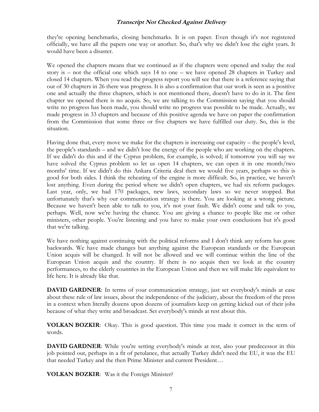they're opening benchmarks, closing benchmarks. It is on paper. Even though it's not registered officially, we have all the papers one way or another. So, that's why we didn't lose the eight years. It would have been a disaster.

We opened the chapters means that we continued as if the chapters were opened and today the real story is – not the official one which says 14 to one – we have opened 28 chapters in Turkey and closed 14 chapters. When you read the progress report you will see that there is a reference saying that out of 30 chapters in 26 there was progress. It is also a confirmation that our work is seen as a positive one and actually the three chapters, which is not mentioned there, doesn't have to do in it. The first chapter we opened there is no acquis. So, we are talking to the Commission saying that you should write no progress has been made, you should write no progress was possible to be made. Actually, we made progress in 33 chapters and because of this positive agenda we have on paper the confirmation from the Commission that some three or five chapters we have fulfilled our duty. So, this is the situation.

Having done that, every move we make for the chapters is increasing our capacity – the people's level, the people's standards – and we didn't lose the energy of the people who are working on the chapters. If we didn't do this and if the Cyprus problem, for example, is solved; if tomorrow you will say we have solved the Cyprus problem so let us open 14 chapters, we can open it in one month/two months' time. If we didn't do this Ankara Criteria deal then we would five years, perhaps so this is good for both sides. I think the reheating of the engine is more difficult. So, in practice, we haven't lost anything. Even during the period where we didn't open chapters, we had six reform packages. Last year, only, we had 170 packages, new laws, secondary laws so we never stopped. But unfortunately that's why our communication strategy is there. You are looking at a wrong picture. Because we haven't been able to talk to you, it's not your fault. We didn't come and talk to you, perhaps. Well, now we're having the chance. You are giving a chance to people like me or other ministers, other people. You're listening and you have to make your own conclusions but it's good that we're talking.

We have nothing against continuing with the political reforms and I don't think any reform has gone backwards. We have made changes but anything against the European standards or the European Union acquis will be changed. It will not be allowed and we will continue within the line of the European Union acquis and the country. If there is no acquis then we look at the country performances, to the elderly countries in the European Union and then we will make life equivalent to life here. It is already like that.

**DAVID GARDNER**: In terms of your communication strategy, just set everybody's minds at ease about these rule of law issues, about the independence of the judiciary, about the freedom of the press in a context when literally dozens upon dozens of journalists keep on getting kicked out of their jobs because of what they write and broadcast. Set everybody's minds at rest about this.

**VOLKAN BOZKIR**: Okay. This is good question. This time you made it correct in the term of words.

**DAVID GARDNER**: While you're setting everybody's minds at rest, also your predecessor in this job pointed out, perhaps in a fit of petulance, that actually Turkey didn't need the EU, it was the EU that needed Turkey and the then Prime Minister and current President…

**VOLKAN BOZKIR**: Was it the Foreign Minister?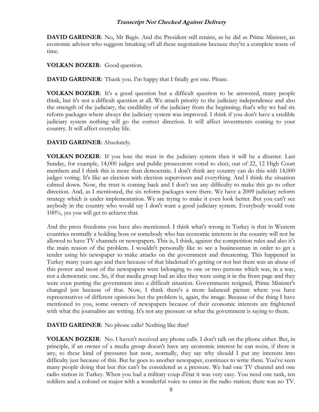**DAVID GARDNER**: No, Mr Bagis. And the President still retains, as he did as Prime Minister, an economic advisor who suggests breaking off all these negotiations because they're a complete waste of time.

**VOLKAN BOZKIR**: Good question.

**DAVID GARDNER**: Thank you. I'm happy that I finally got one. Please.

**VOLKAN BOZKIR**: It's a good question but a difficult question to be answered, many people think, but it's not a difficult question at all. We attach priority to the judiciary independence and also the strength of the judiciary, the credibility of the judiciary from the beginning; that's why we had six reform packages where always the judiciary system was improved. I think if you don't have a credible judiciary system nothing will go the correct direction. It will affect investments coming to your country. It will affect everyday life.

#### **DAVID GARDNER**: Absolutely.

**VOLKAN BOZKIR**: If you lose the trust in the judiciary system then it will be a disaster. Last Sunday, for example, 14,000 judges and public prosecutors voted to elect, out of 22, 12 High Court members and I think this is more than democratic. I don't think any country can do this with 14,000 judges voting. It's like an election with election supervisors and everything. And I think the situation calmed down. Now, the trust is coming back and I don't see any difficulty to make this go to other direction. And, as I mentioned, the six reform packages were there. We have a 2009 judiciary reform strategy which is under implementation. We are trying to make it even look better. But you can't see anybody in the country who would say I don't want a good judiciary system. Everybody would vote 100%, yes you will get to achieve that.

And the press freedoms you have also mentioned. I think what's wrong in Turkey is that in Western countries normally a holding boss or somebody who has economic interests in the country will not be allowed to have TV channels or newspapers. This is, I think, against the competition rules and also it's the main reason of the problem. I wouldn't personally like to see a businessman in order to get a tender using his newspaper to make attacks on the government and threatening. This happened in Turkey many years ago and then because of that blackmail it's getting or not but there was an abuse of this power and most of the newspapers were belonging to one or two persons which was, in a way, not a democratic one. So, if that media group had an idea they were using it in the front page and they were even putting the government into a difficult situation. Governments resigned, Prime Minister's changed just because of that. Now, I think there's a more balanced picture where you have representatives of different opinions but the problem is, again, the image. Because of the thing I have mentioned to you, some owners of newspapers because of their economic interests are frightened with what the journalists are writing. It's not any pressure or what the government is saying to them.

**DAVID GARDNER:** No phone calls? Nothing like that?

**VOLKAN BOZKIR**: No. I haven't received any phone calls. I don't talk on the phone either. But, in principle, if an owner of a media group doesn't have any economic interest he can resist, if there is any, to these kind of pressures but now, normally, they say why should I put my interests into difficulty just because of this. But he goes to another newspaper, continues to write there. You've seen many people doing that but this can't be considered as a pressure. We had one TV channel and one radio station in Turkey. When you had a military coup d'état it was very easy. You need one tank, ten soldiers and a colonel or major with a wonderful voice to enter in the radio station; there was no TV.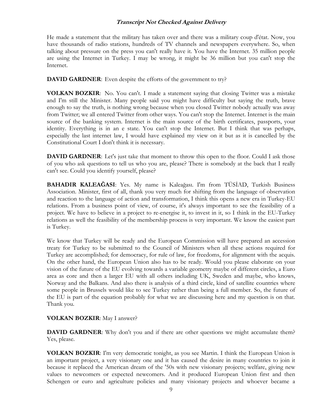He made a statement that the military has taken over and there was a military coup d'état. Now, you have thousands of radio stations, hundreds of TV channels and newspapers everywhere. So, when talking about pressure on the press you can't really have it. You have the Internet. 35 million people are using the Internet in Turkey. I may be wrong, it might be 36 million but you can't stop the Internet.

**DAVID GARDNER:** Even despite the efforts of the government to try?

**VOLKAN BOZKIR**: No. You can't. I made a statement saying that closing Twitter was a mistake and I'm still the Minister. Many people said you might have difficulty but saying the truth, brave enough to say the truth, is nothing wrong because when you closed Twitter nobody actually was away from Twitter; we all entered Twitter from other ways. You can't stop the Internet. Internet is the main source of the banking system. Internet is the main source of the birth certificates, passports, your identity. Everything is in an e state. You can't stop the Internet. But I think that was perhaps, especially the last internet law, I would have explained my view on it but as it is cancelled by the Constitutional Court I don't think it is necessary.

**DAVID GARDNER**: Let's just take that moment to throw this open to the floor. Could I ask those of you who ask questions to tell us who you are, please? There is somebody at the back that I really can't see. Could you identify yourself, please?

**BAHADIR KALEAĞASI**: Yes. My name is Kaleağası. I'm from TÜSİAD, Turkish Business Association. Minister, first of all, thank you very much for shifting from the language of observation and reaction to the language of action and transformation, I think this opens a new era in Turkey-EU relations. From a business point of view, of course, it's always important to see the feasibility of a project. We have to believe in a project to re-energise it, to invest in it, so I think in the EU-Turkey relations as well the feasibility of the membership process is very important. We know the easiest part is Turkey.

We know that Turkey will be ready and the European Commission will have prepared an accession treaty for Turkey to be submitted to the Council of Ministers when all these actions required for Turkey are accomplished; for democracy, for rule of law, for freedoms, for alignment with the acquis. On the other hand, the European Union also has to be ready. Would you please elaborate on your vision of the future of the EU evolving towards a variable geometry maybe of different circles, a Euro area as core and then a larger EU with all others including UK, Sweden and maybe, who knows, Norway and the Balkans. And also there is analysis of a third circle, kind of satellite countries where some people in Brussels would like to see Turkey rather than being a full member. So, the future of the EU is part of the equation probably for what we are discussing here and my question is on that. Thank you.

#### **VOLKAN BOZKIR**: May I answer?

**DAVID GARDNER:** Why don't you and if there are other questions we might accumulate them? Yes, please.

**VOLKAN BOZKIR**: I'm very democratic tonight, as you see Martin. I think the European Union is an important project, a very visionary one and it has caused the desire in many countries to join it because it replaced the American dream of the '50s with new visionary projects; welfare, giving new values to newcomers or expected newcomers. And it produced European Union first and then Schengen or euro and agriculture policies and many visionary projects and whoever became a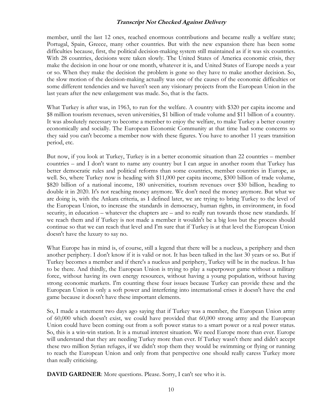member, until the last 12 ones, reached enormous contributions and became really a welfare state; Portugal, Spain, Greece, many other countries. But with the new expansion there has been some difficulties because, first, the political decision-making system still maintained as if it was six countries. With 28 countries, decisions were taken slowly. The United States of America economic crisis, they make the decision in one hour or one month, whatever it is, and United States of Europe needs a year or so. When they make the decision the problem is gone so they have to make another decision. So, the slow motion of the decision-making actually was one of the causes of the economic difficulties or some different tendencies and we haven't seen any visionary projects from the European Union in the last years after the new enlargement was made. So, that is the facts.

What Turkey is after was, in 1963, to run for the welfare. A country with \$320 per capita income and \$8 million tourism revenues, seven universities, \$1 billion of trade volume and \$11 billion of a country. It was absolutely necessary to become a member to enjoy the welfare, to make Turkey a better country economically and socially. The European Economic Community at that time had some concerns so they said you can't become a member now with these figures. You have to another 11 years transition period, etc.

But now, if you look at Turkey, Turkey is in a better economic situation than 22 countries – member countries – and I don't want to name any country but I can argue in another room that Turkey has better democratic rules and political reforms than some countries, member countries in Europe, as well. So, where Turkey now is heading with \$11,000 per capita income, \$300 billion of trade volume, \$820 billion of a national income, 180 universities, tourism revenues over \$30 billion, heading to double it in 2020. It's not reaching money anymore. We don't need the money anymore. But what we are doing is, with the Ankara criteria, as I defined later, we are trying to bring Turkey to the level of the European Union, to increase the standards in democracy, human rights, in environment, in food security, in education – whatever the chapters are – and to really run towards those new standards. If we reach them and if Turkey is not made a member it wouldn't be a big loss but the process should continue so that we can reach that level and I'm sure that if Turkey is at that level the European Union doesn't have the luxury to say no.

What Europe has in mind is, of course, still a legend that there will be a nucleus, a periphery and then another periphery. I don't know if it is valid or not. It has been talked in the last 30 years or so. But if Turkey becomes a member and if there's a nucleus and periphery, Turkey will be in the nucleus. It has to be there. And thirdly, the European Union is trying to play a superpower game without a military force, without having its own energy resources, without having a young population, without having strong economic markets. I'm counting these four issues because Turkey can provide these and the European Union is only a soft power and interfering into international crises it doesn't have the end game because it doesn't have these important elements.

So, I made a statement two days ago saying that if Turkey was a member, the European Union army of 60,000 which doesn't exist, we could have provided that 60,000 strong army and the European Union could have been coming out from a soft power status to a smart power or a real power status. So, this is a win-win station. It is a mutual interest situation. We need Europe more than ever. Europe will understand that they are needing Turkey more than ever. If Turkey wasn't there and didn't accept these two million Syrian refuges, if we didn't stop them they would be swimming or flying or running to reach the European Union and only from that perspective one should really caress Turkey more than really criticising.

**DAVID GARDNER**: More questions. Please. Sorry, I can't see who it is.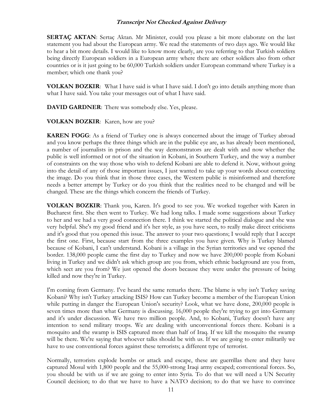**SERTAÇ AKTAN**: Sertaç Aktan. Mr Minister, could you please a bit more elaborate on the last statement you had about the European army. We read the statements of two days ago. We would like to hear a bit more details. I would like to know more clearly, are you referring to that Turkish soldiers being directly European soldiers in a European army where there are other soldiers also from other countries or is it just going to be 60,000 Turkish soldiers under European command where Turkey is a member; which one thank you?

**VOLKAN BOZKIR**: What I have said is what I have said. I don't go into details anything more than what I have said. You take your messages out of what I have said.

**DAVID GARDNER**: There was somebody else. Yes, please.

**VOLKAN BOZKIR**: Karen, how are you?

**KAREN FOGG:** As a friend of Turkey one is always concerned about the image of Turkey abroad and you know perhaps the three things which are in the public eye are, as has already been mentioned, a number of journalists in prison and the way demonstrators are dealt with and now whether the public is well informed or not of the situation in Kobani, in Southern Turkey, and the way a number of constraints on the way those who wish to defend Kobani are able to defend it. Now, without going into the detail of any of those important issues, I just wanted to take up your words about correcting the image. Do you think that in those three cases, the Western public is misinformed and therefore needs a better attempt by Turkey or do you think that the realities need to be changed and will be changed. These are the things which concern the friends of Turkey.

**VOLKAN BOZKIR**: Thank you, Karen. It's good to see you. We worked together with Karen in Bucharest first. She then went to Turkey. We had long talks. I made some suggestions about Turkey to her and we had a very good connection there. I think we started the political dialogue and she was very helpful. She's my good friend and it's her style, as you have seen, to really make direct criticisms and it's good that you opened this issue. The answer to your two questions; I would reply that I accept the first one. First, because start from the three examples you have given. Why is Turkey blamed because of Kobani, I can't understand. Kobani is a village in the Syrian territories and we opened the border. 138,000 people came the first day to Turkey and now we have 200,000 people from Kobani living in Turkey and we didn't ask which group are you from, which ethnic background are you from, which sect are you from? We just opened the doors because they were under the pressure of being killed and now they're in Turkey.

I'm coming from Germany. I've heard the same remarks there. The blame is why isn't Turkey saving Kobani? Why isn't Turkey attacking ISIS? How can Turkey become a member of the European Union while putting in danger the European Union's security? Look, what we have done, 200,000 people is seven times more than what Germany is discussing. 16,000 people they're trying to get into Germany and it's under discussion. We have two million people. And, to Kobani, Turkey doesn't have any intention to send military troops. We are dealing with unconventional forces there. Kobani is a mosquito and the swamp is ISIS captured more than half of Iraq. If we kill the mosquito the swamp will be there. We're saying that whoever talks should be with us. If we are going to enter militarily we have to use conventional forces against these terrorists; a different type of terrorist.

Normally, terrorists explode bombs or attack and escape, these are guerrillas there and they have captured Mosul with 1,800 people and the 55,000-strong Iraqi army escaped; conventional forces. So, you should be with us if we are going to enter into Syria. To do that we will need a UN Security Council decision; to do that we have to have a NATO decision; to do that we have to convince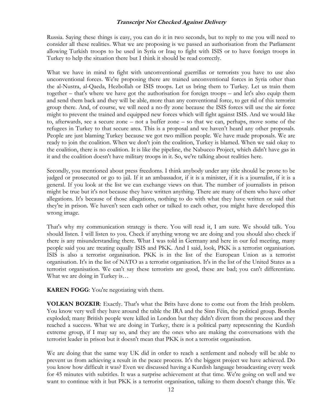Russia. Saying these things is easy, you can do it in two seconds, but to reply to me you will need to consider all these realities. What we are proposing is we passed an authorisation from the Parliament allowing Turkish troops to be used in Syria or Iraq to fight with ISIS or to have foreign troops in Turkey to help the situation there but I think it should be read correctly.

What we have in mind to fight with unconventional guerrillas or terrorists you have to use also unconventional forces. We're proposing there are trained unconventional forces in Syria other than the al-Nustra, al-Qaeda, Hezbollah or ISIS troops. Let us bring them to Turkey. Let us train them together – that's where we have got the authorisation for foreign troops – and let's also equip them and send them back and they will be able, more than any conventional force, to get rid of this terrorist group there. And, of course, we will need a no-fly zone because the ISIS forces will use the air force might to prevent the trained and equipped new forces which will fight against ISIS. And we would like to, afterwards, see a secure zone – not a buffer zone – so that we can, perhaps, move some of the refugees in Turkey to that secure area. This is a proposal and we haven't heard any other proposals. People are just blaming Turkey because we got two million people. We have made proposals. We are ready to join the coalition. When we don't join the coalition, Turkey is blamed. When we said okay to the coalition, there is no coalition. It is like the pipeline, the Nabucco Project, which didn't have gas in it and the coalition doesn't have military troops in it. So, we're talking about realities here.

Secondly, you mentioned about press freedoms. I think anybody under any title should be prone to be judged or prosecuted or go to jail. If it an ambassador, if it is a minister, if it is a journalist, if it is a general. If you look at the list we can exchange views on that. The number of journalists in prison might be true but it's not because they have written anything. There are many of them who have other allegations. It's because of those allegations, nothing to do with what they have written or said that they're in prison. We haven't seen each other or talked to each other, you might have developed this wrong image.

That's why my communication strategy is there. You will read it, I am sure. We should talk. You should listen. I will listen to you. Check if anything wrong we are doing and you should also check if there is any misunderstanding there. What I was told in Germany and here in our fed meeting, many people said you are treating equally ISIS and PKK. And I said, look, PKK is a terrorist organisation. ISIS is also a terrorist organisation. PKK is in the list of the European Union as a terrorist organisation. It's in the list of NATO as a terrorist organisation. It's in the list of the United States as a terrorist organisation. We can't say these terrorists are good, these are bad; you can't differentiate. What we are doing in Turkey is…

**KAREN FOGG**: You're negotiating with them.

**VOLKAN BOZKIR**: Exactly. That's what the Brits have done to come out from the Irish problem. You know very well they have around the table the IRA and the Sinn Féin, the political group. Bombs exploded; many British people were killed in London but they didn't divert from the process and they reached a success. What we are doing in Turkey, there is a political party representing the Kurdish extreme group, if I may say so, and they are the ones who are making the conversations with the terrorist leader in prison but it doesn't mean that PKK is not a terrorist organisation.

We are doing that the same way UK did in order to reach a settlement and nobody will be able to prevent us from achieving a result in the peace process. It's the biggest project we have achieved. Do you know how difficult it was? Even we discussed having a Kurdish language broadcasting every week for 45 minutes with subtitles. It was a surprise achievement at that time. We're going on well and we want to continue with it but PKK is a terrorist organisation, talking to them doesn't change this. We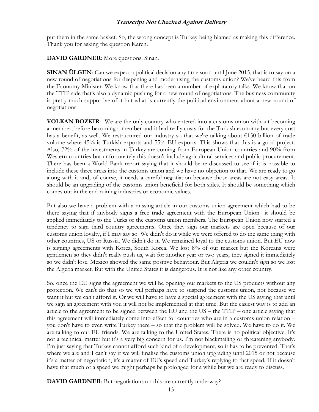put them in the same basket. So, the wrong concept is Turkey being blamed as making this difference. Thank you for asking the question Karen.

**DAVID GARDNER**: More questions. Sinan.

**SINAN ÜLGEN:** Can we expect a political decision any time soon until June 2015, that is to say on a new round of negotiations for deepening and modernising the customs union? We've heard this from the Economy Minister. We know that there has been a number of exploratory talks. We know that on the TTIP side that's also a dynamic pushing for a new round of negotiations. The business community is pretty much supportive of it but what is currently the political environment about a new round of negotiations.

**VOLKAN BOZKIR**: We are the only country who entered into a customs union without becoming a member, before becoming a member and it had really costs for the Turkish economy but every cost has a benefit, as well. We restructured our industry so that we're talking about €150 billion of trade volume where 45% is Turkish exports and 55% EU exports. This shows that this is a good project. Also, 72% of the investments in Turkey are coming from European Union countries and 90% from Western countries but unfortunately this doesn't include agricultural services and public procurement. There has been a World Bank report saying that it should be re-discussed to see if it is possible to include these three areas into the customs union and we have no objection to that. We are ready to go along with it and, of course, it needs a careful negotiation because those areas are not easy areas. It should be an upgrading of the customs union beneficial for both sides. It should be something which comes out in the end ruining industries or economic values.

But also we have a problem with a missing article in our customs union agreement which had to be there saying that if anybody signs a free trade agreement with the European Union it should be applied immediately to the Turks or the customs union members. The European Union now started a tendency to sign third country agreements. Once they sign our markets are open because of our customs union loyalty, if I may say so. We didn't do it while we were offered to do the same thing with other countries, US or Russia. We didn't do it. We remained loyal to the customs union. But EU now is signing agreements with Korea, South Korea. We lost 8% of our market but the Koreans were gentlemen so they didn't really push us, wait for another year or two years, they signed it immediately so we didn't lose. Mexico showed the same positive behaviour. But Algeria we couldn't sign so we lost the Algeria market. But with the United States it is dangerous. It is not like any other country.

So, once the EU signs the agreement we will be opening our markets to the US products without any protection. We can't do that so we will perhaps have to suspend the customs union, not because we want it but we can't afford it. Or we will have to have a special agreement with the US saying that until we sign an agreement with you it will not be implemented at that time. But the easiest way is to add an article to the agreement to be signed between the EU and the US – the TTIP – one article saying that this agreement will immediately come into effect for countries who are in a customs union relation – you don't have to even write Turkey there – so that the problem will be solved. We have to do it. We are talking to our EU friends. We are talking to the United States. There is no political objective. It's not a technical matter but it's a very big concern for us. I'm not blackmailing or threatening anybody. I'm just saying that Turkey cannot afford such kind of a development, so it has to be prevented. That's where we are and I can't say if we will finalise the customs union upgrading until 2015 or not because it's a matter of negotiation, it's a matter of EU's speed and Turkey's replying to that speed. If it doesn't have that much of a speed we might perhaps be prolonged for a while but we are ready to discuss.

**DAVID GARDNER:** But negotiations on this are currently underway?